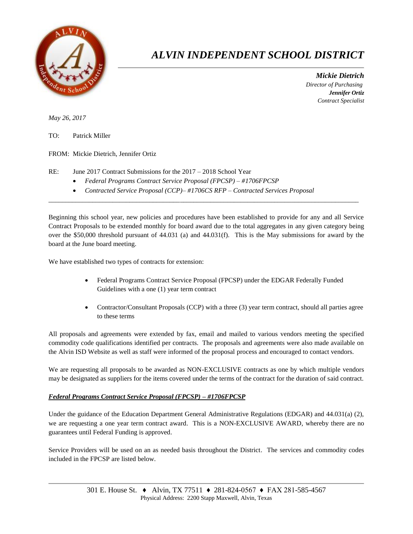

## *ALVIN INDEPENDENT SCHOOL DISTRICT*

 *Mickie Dietrich Director of Purchasing Jennifer Ortiz Contract Specialist*

*May 26, 2017*

TO: Patrick Miller

FROM: Mickie Dietrich, Jennifer Ortiz

RE: June 2017 Contract Submissions for the 2017 – 2018 School Year

- *Federal Programs Contract Service Proposal (FPCSP) – #1706FPCSP*
- *Contracted Service Proposal (CCP)– #1706CS RFP – Contracted Services Proposal*

Beginning this school year, new policies and procedures have been established to provide for any and all Service Contract Proposals to be extended monthly for board award due to the total aggregates in any given category being over the \$50,000 threshold pursuant of 44.031 (a) and 44.031(f). This is the May submissions for award by the board at the June board meeting.

 $\overline{a}$  , and the contribution of the contribution of the contribution of the contribution of the contribution of the contribution of the contribution of the contribution of the contribution of the contribution of the co

We have established two types of contracts for extension:

- Federal Programs Contract Service Proposal (FPCSP) under the EDGAR Federally Funded Guidelines with a one (1) year term contract
- Contractor/Consultant Proposals (CCP) with a three (3) year term contract, should all parties agree to these terms

All proposals and agreements were extended by fax, email and mailed to various vendors meeting the specified commodity code qualifications identified per contracts. The proposals and agreements were also made available on the Alvin ISD Website as well as staff were informed of the proposal process and encouraged to contact vendors.

We are requesting all proposals to be awarded as NON-EXCLUSIVE contracts as one by which multiple vendors may be designated as suppliers for the items covered under the terms of the contract for the duration of said contract.

## *Federal Programs Contract Service Proposal (FPCSP) – #1706FPCSP*

Under the guidance of the Education Department General Administrative Regulations (EDGAR) and 44.031(a) (2), we are requesting a one year term contract award. This is a NON-EXCLUSIVE AWARD, whereby there are no guarantees until Federal Funding is approved.

Service Providers will be used on an as needed basis throughout the District. The services and commodity codes included in the FPCSP are listed below.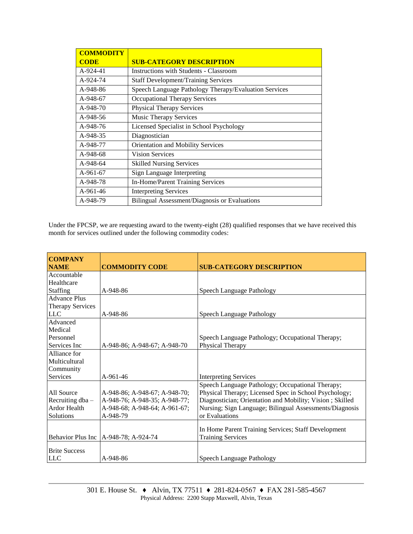| <b>COMMODITY</b> |                                                       |
|------------------|-------------------------------------------------------|
| <b>CODE</b>      | <b>SUB-CATEGORY DESCRIPTION</b>                       |
| A-924-41         | <b>Instructions with Students - Classroom</b>         |
| A-924-74         | <b>Staff Development/Training Services</b>            |
| A-948-86         | Speech Language Pathology Therapy/Evaluation Services |
| A-948-67         | <b>Occupational Therapy Services</b>                  |
| A-948-70         | <b>Physical Therapy Services</b>                      |
| A-948-56         | <b>Music Therapy Services</b>                         |
| A-948-76         | Licensed Specialist in School Psychology              |
| A-948-35         | Diagnostician                                         |
| A-948-77         | Orientation and Mobility Services                     |
| A-948-68         | <b>Vision Services</b>                                |
| A-948-64         | <b>Skilled Nursing Services</b>                       |
| A-961-67         | Sign Language Interpreting                            |
| A-948-78         | In-Home/Parent Training Services                      |
| A-961-46         | <b>Interpreting Services</b>                          |
| A-948-79         | Bilingual Assessment/Diagnosis or Evaluations         |

Under the FPCSP, we are requesting award to the twenty-eight (28) qualified responses that we have received this month for services outlined under the following commodity codes:

| <b>COMPANY</b>          |                               |                                                          |
|-------------------------|-------------------------------|----------------------------------------------------------|
| <b>NAME</b>             | <b>COMMODITY CODE</b>         | <b>SUB-CATEGORY DESCRIPTION</b>                          |
| Accountable             |                               |                                                          |
| Healthcare              |                               |                                                          |
| <b>Staffing</b>         | A-948-86                      | Speech Language Pathology                                |
| <b>Advance Plus</b>     |                               |                                                          |
| <b>Therapy Services</b> |                               |                                                          |
| <b>LLC</b>              | A-948-86                      | Speech Language Pathology                                |
| Advanced                |                               |                                                          |
| Medical                 |                               |                                                          |
| Personnel               |                               | Speech Language Pathology; Occupational Therapy;         |
| Services Inc            | A-948-86; A-948-67; A-948-70  | Physical Therapy                                         |
| Alliance for            |                               |                                                          |
| Multicultural           |                               |                                                          |
| Community               |                               |                                                          |
| Services                | A-961-46                      | <b>Interpreting Services</b>                             |
|                         |                               | Speech Language Pathology; Occupational Therapy;         |
| All Source              | A-948-86; A-948-67; A-948-70; | Physical Therapy; Licensed Spec in School Psychology;    |
| Recruiting $dba -$      | A-948-76; A-948-35; A-948-77; | Diagnostician; Orientation and Mobility; Vision; Skilled |
| Ardor Health            | A-948-68; A-948-64; A-961-67; | Nursing; Sign Language; Bilingual Assessments/Diagnosis  |
| Solutions               | A-948-79                      | or Evaluations                                           |
|                         |                               |                                                          |
|                         |                               | In Home Parent Training Services; Staff Development      |
| Behavior Plus Inc       | A-948-78; A-924-74            | <b>Training Services</b>                                 |
| <b>Brite Success</b>    |                               |                                                          |
| <b>LLC</b>              | A-948-86                      | Speech Language Pathology                                |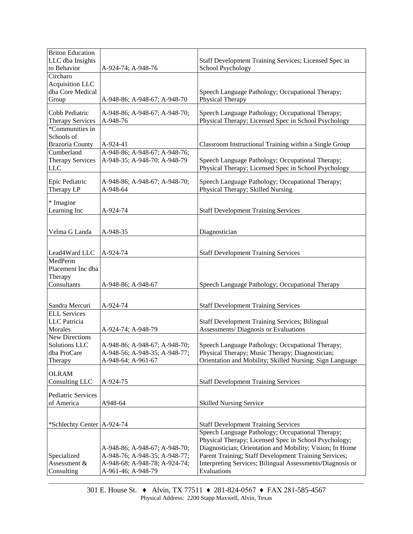| <b>Briton Education</b><br>LLC dba Insights |                                           | Staff Development Training Services; Licensed Spec in                                 |  |
|---------------------------------------------|-------------------------------------------|---------------------------------------------------------------------------------------|--|
| to Behavior                                 | A-924-74; A-948-76                        | School Psychology                                                                     |  |
| Circharo                                    |                                           |                                                                                       |  |
| Acquisition LLC                             |                                           |                                                                                       |  |
| dba Core Medical                            |                                           | Speech Language Pathology; Occupational Therapy;                                      |  |
| Group                                       | A-948-86; A-948-67; A-948-70              | Physical Therapy                                                                      |  |
| Cobb Pediatric                              | A-948-86; A-948-67; A-948-70;             | Speech Language Pathology; Occupational Therapy;                                      |  |
| <b>Therapy Services</b>                     | A-948-76                                  | Physical Therapy; Licensed Spec in School Psychology                                  |  |
| *Communities in                             |                                           |                                                                                       |  |
| Schools of                                  |                                           |                                                                                       |  |
| <b>Brazoria County</b>                      | A-924-41                                  | Classroom Instructional Training within a Single Group                                |  |
| Cumberland                                  | A-948-86; A-948-67; A-948-76;             |                                                                                       |  |
| <b>Therapy Services</b>                     | A-948-35; A-948-70; A-948-79              | Speech Language Pathology; Occupational Therapy;                                      |  |
| <b>LLC</b>                                  |                                           | Physical Therapy; Licensed Spec in School Psychology                                  |  |
| Epic Pediatric<br>Therapy LP                | A-948-86; A-948-67; A-948-70;<br>A-948-64 | Speech Language Pathology; Occupational Therapy;<br>Physical Therapy; Skilled Nursing |  |
|                                             |                                           |                                                                                       |  |
| * Imagine<br>Learning Inc                   | A-924-74                                  | <b>Staff Development Training Services</b>                                            |  |
|                                             |                                           |                                                                                       |  |
|                                             |                                           |                                                                                       |  |
| Velma G Landa                               | A-948-35                                  | Diagnostician                                                                         |  |
|                                             |                                           |                                                                                       |  |
| Lead4Ward LLC                               | A-924-74                                  |                                                                                       |  |
| MedPerm                                     |                                           | <b>Staff Development Training Services</b>                                            |  |
| Placement Inc dba                           |                                           |                                                                                       |  |
| Therapy                                     |                                           |                                                                                       |  |
| Consultants                                 | A-948-86; A-948-67                        | Speech Language Pathology; Occupational Therapy                                       |  |
|                                             |                                           |                                                                                       |  |
|                                             |                                           |                                                                                       |  |
| Sandra Mercuri                              | A-924-74                                  | <b>Staff Development Training Services</b>                                            |  |
| <b>ELL Services</b>                         |                                           |                                                                                       |  |
| <b>LLC</b> Patricia                         |                                           | <b>Staff Development Training Services; Bilingual</b>                                 |  |
| Morales                                     | A-924-74; A-948-79                        | Assessments/Diagnosis or Evaluations                                                  |  |
| New Directions<br><b>Solutions LLC</b>      | A-948-86; A-948-67; A-948-70;             | Speech Language Pathology; Occupational Therapy;                                      |  |
| dba ProCare                                 | A-948-56; A-948-35; A-948-77;             | Physical Therapy; Music Therapy; Diagnostician;                                       |  |
| Therapy                                     | A-948-64; A-961-67                        | Orientation and Mobility; Skilled Nursing; Sign Language                              |  |
|                                             |                                           |                                                                                       |  |
| <b>OLRAM</b>                                |                                           |                                                                                       |  |
| Consulting LLC                              | A-924-75                                  | <b>Staff Development Training Services</b>                                            |  |
| Pediatric Services                          |                                           |                                                                                       |  |
| of America                                  | A948-64                                   | <b>Skilled Nursing Service</b>                                                        |  |
|                                             |                                           |                                                                                       |  |
|                                             |                                           |                                                                                       |  |
| *Schlechty Center   A-924-74                |                                           | <b>Staff Development Training Services</b>                                            |  |
|                                             |                                           | Speech Language Pathology; Occupational Therapy;                                      |  |
|                                             |                                           | Physical Therapy; Licensed Spec in School Psychology;                                 |  |
|                                             | A-948-86; A-948-67; A-948-70;             | Diagnostician; Orientation and Mobility; Vision; In Home                              |  |
| Specialized                                 | A-948-76; A-948-35; A-948-77;             | Parent Training; Staff Development Training Services;                                 |  |
| Assessment &                                | A-948-68; A-948-78; A-924-74;             | Interpreting Services; Bilingual Assessments/Diagnosis or                             |  |
| Consulting                                  | A-961-46; A-948-79                        | Evaluations                                                                           |  |

301 E. House St. ♦ Alvin, TX 77511 ♦ 281-824-0567 ♦ FAX 281-585-4567 Physical Address: 2200 Stapp Maxwell, Alvin, Texas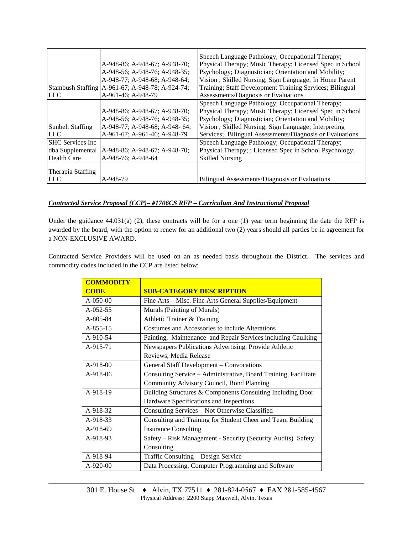|                         |                                                   | Speech Language Pathology; Occupational Therapy;         |  |
|-------------------------|---------------------------------------------------|----------------------------------------------------------|--|
|                         | A-948-86; A-948-67; A-948-70;                     | Physical Therapy; Music Therapy; Licensed Spec in School |  |
|                         | A-948-56; A-948-76; A-948-35;                     | Psychology; Diagnostician; Orientation and Mobility;     |  |
|                         | A-948-77: A-948-68: A-948-64:                     | Vision; Skilled Nursing; Sign Language; In Home Parent   |  |
|                         | Stambush Staffing   A-961-67; A-948-78; A-924-74; | Training; Staff Development Training Services; Bilingual |  |
| <b>LLC</b>              | A-961-46; A-948-79                                | Assessments/Diagnosis or Evaluations                     |  |
|                         |                                                   | Speech Language Pathology; Occupational Therapy;         |  |
|                         | A-948-86; A-948-67; A-948-70;                     | Physical Therapy; Music Therapy; Licensed Spec in School |  |
|                         | A-948-56; A-948-76; A-948-35;                     | Psychology; Diagnostician; Orientation and Mobility;     |  |
| <b>Sunbelt Staffing</b> | A-948-77; A-948-68; A-948-64;                     | Vision; Skilled Nursing; Sign Language; Interpreting     |  |
| <b>LLC</b>              | A-961-67; A-961-46; A-948-79                      | Services; Bilingual Assessments/Diagnosis or Evaluations |  |
| <b>SHC</b> Services Inc |                                                   | Speech Language Pathology; Occupational Therapy;         |  |
| dba Supplemental        | A-948-86; A-948-67; A-948-70;                     | Physical Therapy; ; Licensed Spec in School Psychology;  |  |
| <b>Health Care</b>      | A-948-76; A-948-64                                | <b>Skilled Nursing</b>                                   |  |
|                         |                                                   |                                                          |  |
| Therapia Staffing       |                                                   |                                                          |  |
| <b>LLC</b>              | A-948-79                                          | Bilingual Assessments/Diagnosis or Evaluations           |  |

## *Contracted Service Proposal (CCP)– #1706CS RFP – Curriculum And Instructional Proposal*

Under the guidance 44.031(a) (2), these contracts will be for a one (1) year term beginning the date the RFP is awarded by the board, with the option to renew for an additional two (2) years should all parties be in agreement for a NON-EXCLUSIVE AWARD.

Contracted Service Providers will be used on an as needed basis throughout the District. The services and commodity codes included in the CCP are listed below:

| <b>COMMODITY</b> |                                                                 |  |  |
|------------------|-----------------------------------------------------------------|--|--|
| <b>CODE</b>      | <b>SUB-CATEGORY DESCRIPTION</b>                                 |  |  |
| A-050-00         | Fine Arts – Misc. Fine Arts General Supplies/Equipment          |  |  |
| $A-052-55$       | Murals (Painting of Murals)                                     |  |  |
| A-805-84         | Athletic Trainer & Training                                     |  |  |
| A-855-15         | Costumes and Accessories to include Alterations                 |  |  |
| A-910-54         | Painting, Maintenance and Repair Services including Caulking    |  |  |
| A-915-71         | Newspapers Publications Advertising, Provide Athletic           |  |  |
|                  | Reviews; Media Release                                          |  |  |
| $A-918-00$       | General Staff Development – Convocations                        |  |  |
| $A-918-06$       | Consulting Service – Administrative, Board Training, Facilitate |  |  |
|                  | Community Advisory Council, Bond Planning                       |  |  |
| A-918-19         | Building Structures & Components Consulting Including Door      |  |  |
|                  | Hardware Specifications and Inspections                         |  |  |
| A-918-32         | Consulting Services - Not Otherwise Classified                  |  |  |
| A-918-33         | Consulting and Training for Student Cheer and Team Building     |  |  |
| A-918-69         | <b>Insurance Consulting</b>                                     |  |  |
| A-918-93         | Safety - Risk Management - Security (Security Audits) Safety    |  |  |
|                  | Consulting                                                      |  |  |
| A-918-94         | Traffic Consulting - Design Service                             |  |  |
| $A-920-00$       | Data Processing, Computer Programming and Software              |  |  |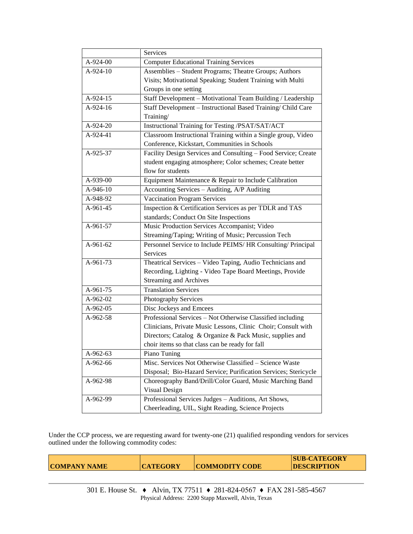|                                                          | Services                                                        |  |  |
|----------------------------------------------------------|-----------------------------------------------------------------|--|--|
| A-924-00                                                 | <b>Computer Educational Training Services</b>                   |  |  |
| A-924-10                                                 | Assemblies - Student Programs; Theatre Groups; Authors          |  |  |
|                                                          | Visits; Motivational Speaking; Student Training with Multi      |  |  |
|                                                          | Groups in one setting                                           |  |  |
| A-924-15                                                 | Staff Development - Motivational Team Building / Leadership     |  |  |
| A-924-16                                                 | Staff Development - Instructional Based Training/ Child Care    |  |  |
|                                                          | Training/                                                       |  |  |
| A-924-20                                                 | Instructional Training for Testing /PSAT/SAT/ACT                |  |  |
| A-924-41                                                 | Classroom Instructional Training within a Single group, Video   |  |  |
|                                                          | Conference, Kickstart, Communities in Schools                   |  |  |
| A-925-37                                                 | Facility Design Services and Consulting - Food Service; Create  |  |  |
|                                                          | student engaging atmosphere; Color schemes; Create better       |  |  |
|                                                          | flow for students                                               |  |  |
| A-939-00                                                 | Equipment Maintenance & Repair to Include Calibration           |  |  |
| A-946-10                                                 | Accounting Services - Auditing, A/P Auditing                    |  |  |
| A-948-92                                                 | <b>Vaccination Program Services</b>                             |  |  |
| A-961-45                                                 | Inspection & Certification Services as per TDLR and TAS         |  |  |
|                                                          | standards; Conduct On Site Inspections                          |  |  |
| A-961-57                                                 | Music Production Services Accompanist; Video                    |  |  |
|                                                          | Streaming/Taping; Writing of Music; Percussion Tech             |  |  |
| A-961-62                                                 | Personnel Service to Include PEIMS/HR Consulting/ Principal     |  |  |
|                                                          | Services                                                        |  |  |
| A-961-73                                                 | Theatrical Services - Video Taping, Audio Technicians and       |  |  |
| Recording, Lighting - Video Tape Board Meetings, Provide |                                                                 |  |  |
|                                                          | <b>Streaming and Archives</b>                                   |  |  |
| A-961-75                                                 | <b>Translation Services</b>                                     |  |  |
| A-962-02                                                 | Photography Services                                            |  |  |
| A-962-05                                                 | Disc Jockeys and Emcees                                         |  |  |
| A-962-58                                                 | Professional Services - Not Otherwise Classified including      |  |  |
|                                                          | Clinicians, Private Music Lessons, Clinic Choir; Consult with   |  |  |
|                                                          | Directors; Catalog & Organize & Pack Music, supplies and        |  |  |
|                                                          | choir items so that class can be ready for fall                 |  |  |
| A-962-63                                                 | Piano Tuning                                                    |  |  |
| A-962-66                                                 | Misc. Services Not Otherwise Classified - Science Waste         |  |  |
|                                                          | Disposal; Bio-Hazard Service; Purification Services; Stericycle |  |  |
| A-962-98                                                 | Choreography Band/Drill/Color Guard, Music Marching Band        |  |  |
|                                                          | Visual Design                                                   |  |  |
| A-962-99                                                 | Professional Services Judges - Auditions, Art Shows,            |  |  |
|                                                          | Cheerleading, UIL, Sight Reading, Science Projects              |  |  |

Under the CCP process, we are requesting award for twenty-one (21) qualified responding vendors for services outlined under the following commodity codes:

| <b>COMPANY NAME</b> | <b>CATEGORY</b> | <b>COMMODITY CODE</b> | <b>SUB-CATEGORY</b><br><b>DESCRIPTION</b> |
|---------------------|-----------------|-----------------------|-------------------------------------------|
|                     |                 |                       |                                           |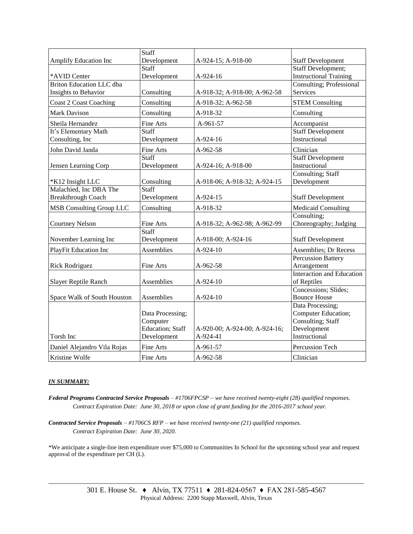|                                 | Staff            |                               |                               |
|---------------------------------|------------------|-------------------------------|-------------------------------|
| Amplify Education Inc           | Development      | A-924-15; A-918-00            | <b>Staff Development</b>      |
|                                 | Staff            |                               | <b>Staff Development;</b>     |
| *AVID Center                    | Development      | A-924-16                      | <b>Instructional Training</b> |
| <b>Briton Education LLC dba</b> |                  |                               | Consulting; Professional      |
| Insights to Behavior            | Consulting       | A-918-32; A-918-00; A-962-58  | Services                      |
| <b>Coast 2 Coast Coaching</b>   | Consulting       | A-918-32; A-962-58            | <b>STEM Consulting</b>        |
| <b>Mark Davison</b>             | Consulting       | A-918-32                      | Consulting                    |
| Sheila Hernandez                | Fine Arts        | A-961-57                      | Accompanist                   |
| It's Elementary Math            | Staff            |                               | <b>Staff Development</b>      |
| Consulting, Inc                 | Development      | A-924-16                      | Instructional                 |
| John David Janda                | Fine Arts        | A-962-58                      | Clinician                     |
|                                 | Staff            |                               | <b>Staff Development</b>      |
| Jensen Learning Corp            | Development      | A-924-16; A-918-00            | Instructional                 |
|                                 |                  |                               | Consulting; Staff             |
| *K12 Insight LLC                | Consulting       | A-918-06; A-918-32; A-924-15  | Development                   |
| Malachied, Inc DBA The          | Staff            |                               |                               |
| <b>Breakthrough Coach</b>       | Development      | A-924-15                      | <b>Staff Development</b>      |
| <b>MSB Consulting Group LLC</b> | Consulting       | A-918-32                      | <b>Medicaid Consulting</b>    |
|                                 |                  |                               | Consulting;                   |
| <b>Courtney Nelson</b>          | Fine Arts        | A-918-32; A-962-98; A-962-99  | Choreography; Judging         |
|                                 | Staff            |                               |                               |
| November Learning Inc           | Development      | A-918-00; A-924-16            | <b>Staff Development</b>      |
| PlayFit Education Inc           | Assemblies       | A-924-10                      | <b>Assemblies</b> ; Dr Recess |
|                                 |                  |                               | Percussion Battery            |
| <b>Rick Rodriguez</b>           | Fine Arts        | A-962-58                      | Arrangement                   |
|                                 |                  |                               | Interaction and Education     |
| Slayer Reptile Ranch            | Assemblies       | A-924-10                      | of Reptiles                   |
|                                 |                  |                               | Concessions; Slides;          |
| Space Walk of South Houston     | Assemblies       | A-924-10                      | <b>Bounce House</b>           |
|                                 |                  |                               | Data Processing;              |
|                                 | Data Processing; |                               | Computer Education;           |
|                                 | Computer         |                               | Consulting; Staff             |
|                                 | Education; Staff | A-920-00; A-924-00; A-924-16; | Development                   |
| Torsh Inc                       | Development      | A-924-41                      | Instructional                 |
| Daniel Alejandro Vila Rojas     | Fine Arts        | A-961-57                      | Percussion Tech               |
| Kristine Wolfe                  | Fine Arts        | $A-962-58$                    | Clinician                     |

## *IN SUMMARY:*

*Federal Programs Contracted Service Proposals – #1706FPCSP* – *we have received twenty-eight (28) qualified responses. Contract Expiration Date: June 30, 2018 or upon close of grant funding for the 2016-2017 school year.*

*Contracted Service Proposals* – *#1706CS RFP – we have received twenty-one (21) qualified responses. Contract Expiration Date: June 30, 2020.*

\*We anticipate a single-line item expenditure over \$75,000 to Communities In School for the upcoming school year and request approval of the expenditure per CH (L).